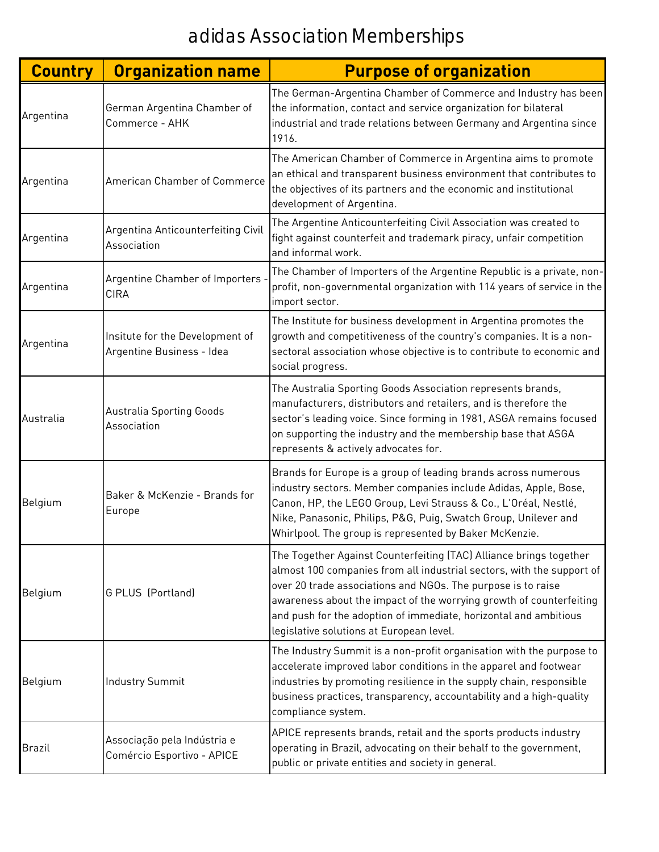| <b>Country</b> | <b>Organization name</b>                                     | <b>Purpose of organization</b>                                                                                                                                                                                                                                                                                                                                                                     |
|----------------|--------------------------------------------------------------|----------------------------------------------------------------------------------------------------------------------------------------------------------------------------------------------------------------------------------------------------------------------------------------------------------------------------------------------------------------------------------------------------|
| Argentina      | German Argentina Chamber of<br>Commerce - AHK                | The German-Argentina Chamber of Commerce and Industry has been<br>the information, contact and service organization for bilateral<br>industrial and trade relations between Germany and Argentina since<br>1916.                                                                                                                                                                                   |
| Argentina      | American Chamber of Commerce                                 | The American Chamber of Commerce in Argentina aims to promote<br>an ethical and transparent business environment that contributes to<br>the objectives of its partners and the economic and institutional<br>development of Argentina.                                                                                                                                                             |
| Argentina      | Argentina Anticounterfeiting Civil<br>Association            | The Argentine Anticounterfeiting Civil Association was created to<br>fight against counterfeit and trademark piracy, unfair competition<br>and informal work.                                                                                                                                                                                                                                      |
| Argentina      | Argentine Chamber of Importers<br><b>CIRA</b>                | The Chamber of Importers of the Argentine Republic is a private, non-<br>profit, non-governmental organization with 114 years of service in the<br>import sector.                                                                                                                                                                                                                                  |
| Argentina      | Insitute for the Development of<br>Argentine Business - Idea | The Institute for business development in Argentina promotes the<br>growth and competitiveness of the country's companies. It is a non-<br>sectoral association whose objective is to contribute to economic and<br>social progress.                                                                                                                                                               |
| Australia      | <b>Australia Sporting Goods</b><br>Association               | The Australia Sporting Goods Association represents brands,<br>manufacturers, distributors and retailers, and is therefore the<br>sector's leading voice. Since forming in 1981, ASGA remains focused<br>on supporting the industry and the membership base that ASGA<br>represents & actively advocates for.                                                                                      |
| Belgium        | Baker & McKenzie - Brands for<br>Europe                      | Brands for Europe is a group of leading brands across numerous<br>industry sectors. Member companies include Adidas, Apple, Bose,<br>Canon, HP, the LEGO Group, Levi Strauss & Co., L'Oréal, Nestlé,<br>Nike, Panasonic, Philips, P&G, Puig, Swatch Group, Unilever and<br>Whirlpool. The group is represented by Baker McKenzie.                                                                  |
| Belgium        | G PLUS (Portland)                                            | The Together Against Counterfeiting (TAC) Alliance brings together<br>almost 100 companies from all industrial sectors, with the support of<br>over 20 trade associations and NGOs. The purpose is to raise<br>awareness about the impact of the worrying growth of counterfeiting<br>and push for the adoption of immediate, horizontal and ambitious<br>legislative solutions at European level. |
| Belgium        | <b>Industry Summit</b>                                       | The Industry Summit is a non-profit organisation with the purpose to<br>accelerate improved labor conditions in the apparel and footwear<br>industries by promoting resilience in the supply chain, responsible<br>business practices, transparency, accountability and a high-quality<br>compliance system.                                                                                       |
| <b>Brazil</b>  | Associação pela Indústria e<br>Comércio Esportivo - APICE    | APICE represents brands, retail and the sports products industry<br>operating in Brazil, advocating on their behalf to the government,<br>public or private entities and society in general.                                                                                                                                                                                                       |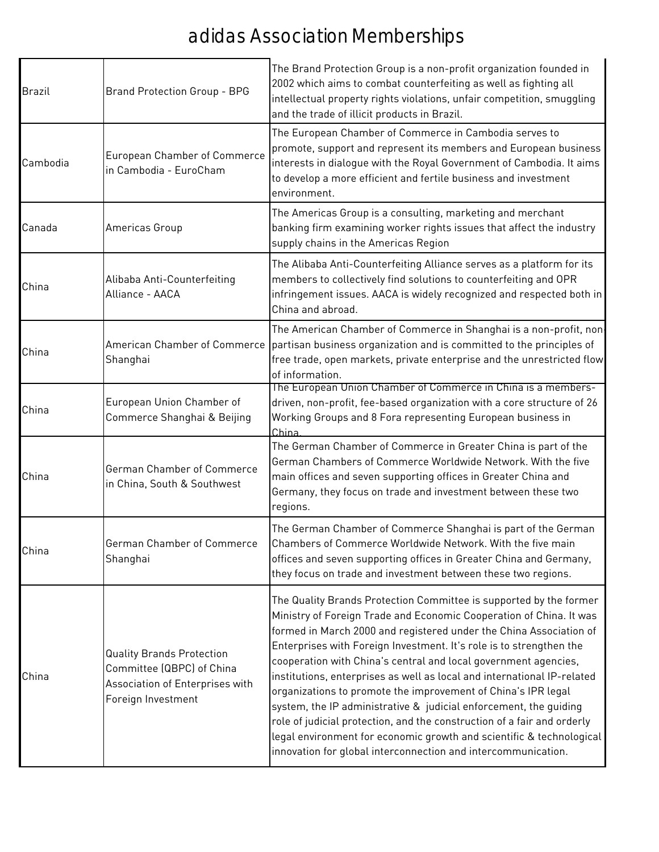| <b>Brazil</b> | <b>Brand Protection Group - BPG</b>                                                                                    | The Brand Protection Group is a non-profit organization founded in<br>2002 which aims to combat counterfeiting as well as fighting all<br>intellectual property rights violations, unfair competition, smuggling<br>and the trade of illicit products in Brazil.                                                                                                                                                                                                                                                                                                                                                                                                                                                                                                                               |
|---------------|------------------------------------------------------------------------------------------------------------------------|------------------------------------------------------------------------------------------------------------------------------------------------------------------------------------------------------------------------------------------------------------------------------------------------------------------------------------------------------------------------------------------------------------------------------------------------------------------------------------------------------------------------------------------------------------------------------------------------------------------------------------------------------------------------------------------------------------------------------------------------------------------------------------------------|
| Cambodia      | European Chamber of Commerce<br>in Cambodia - EuroCham                                                                 | The European Chamber of Commerce in Cambodia serves to<br>promote, support and represent its members and European business<br>interests in dialogue with the Royal Government of Cambodia. It aims<br>to develop a more efficient and fertile business and investment<br>environment.                                                                                                                                                                                                                                                                                                                                                                                                                                                                                                          |
| Canada        | Americas Group                                                                                                         | The Americas Group is a consulting, marketing and merchant<br>banking firm examining worker rights issues that affect the industry<br>supply chains in the Americas Region                                                                                                                                                                                                                                                                                                                                                                                                                                                                                                                                                                                                                     |
| China         | Alibaba Anti-Counterfeiting<br>Alliance - AACA                                                                         | The Alibaba Anti-Counterfeiting Alliance serves as a platform for its<br>members to collectively find solutions to counterfeiting and OPR<br>infringement issues. AACA is widely recognized and respected both in<br>China and abroad.                                                                                                                                                                                                                                                                                                                                                                                                                                                                                                                                                         |
| China         | American Chamber of Commerce<br>Shanghai                                                                               | The American Chamber of Commerce in Shanghai is a non-profit, non<br>partisan business organization and is committed to the principles of<br>free trade, open markets, private enterprise and the unrestricted flow<br>of information.                                                                                                                                                                                                                                                                                                                                                                                                                                                                                                                                                         |
| China         | European Union Chamber of<br>Commerce Shanghai & Beijing                                                               | The European Union Chamber of Commerce in China is a members-<br>driven, non-profit, fee-based organization with a core structure of 26<br>Working Groups and 8 Fora representing European business in<br>China                                                                                                                                                                                                                                                                                                                                                                                                                                                                                                                                                                                |
| China         | German Chamber of Commerce<br>in China, South & Southwest                                                              | The German Chamber of Commerce in Greater China is part of the<br>German Chambers of Commerce Worldwide Network. With the five<br>main offices and seven supporting offices in Greater China and<br>Germany, they focus on trade and investment between these two<br>regions.                                                                                                                                                                                                                                                                                                                                                                                                                                                                                                                  |
| China         | German Chamber of Commerce<br>Shanghai                                                                                 | The German Chamber of Commerce Shanghai is part of the German<br>Chambers of Commerce Worldwide Network. With the five main<br>offices and seven supporting offices in Greater China and Germany,<br>they focus on trade and investment between these two regions.                                                                                                                                                                                                                                                                                                                                                                                                                                                                                                                             |
| China         | <b>Quality Brands Protection</b><br>Committee (QBPC) of China<br>Association of Enterprises with<br>Foreign Investment | The Quality Brands Protection Committee is supported by the former<br>Ministry of Foreign Trade and Economic Cooperation of China. It was<br>formed in March 2000 and registered under the China Association of<br>Enterprises with Foreign Investment. It's role is to strengthen the<br>cooperation with China's central and local government agencies,<br>institutions, enterprises as well as local and international IP-related<br>organizations to promote the improvement of China's IPR legal<br>system, the IP administrative & judicial enforcement, the guiding<br>role of judicial protection, and the construction of a fair and orderly<br>legal environment for economic growth and scientific & technological<br>innovation for global interconnection and intercommunication. |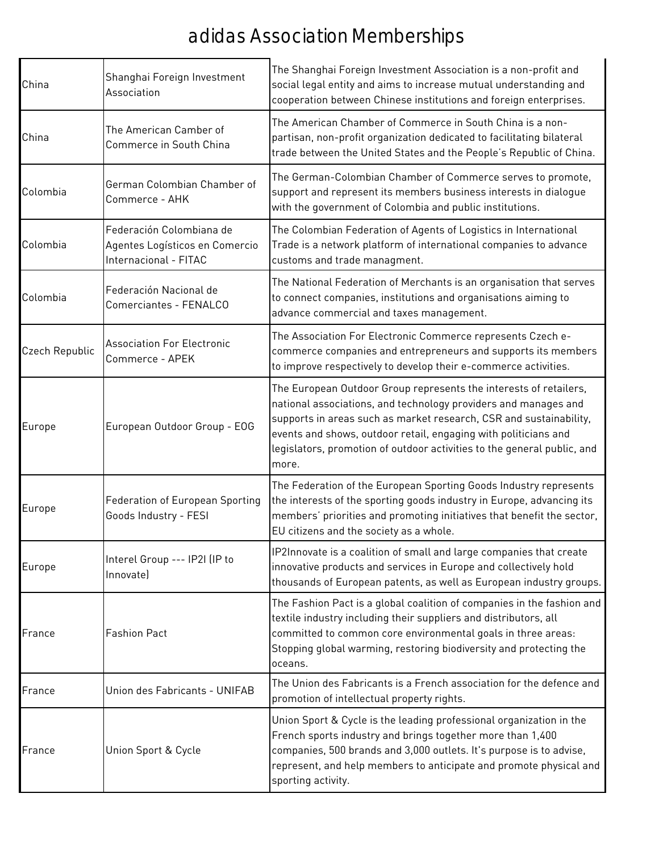| China          | Shanghai Foreign Investment<br>Association                                          | The Shanghai Foreign Investment Association is a non-profit and<br>social legal entity and aims to increase mutual understanding and<br>cooperation between Chinese institutions and foreign enterprises.                                                                                                                                                         |
|----------------|-------------------------------------------------------------------------------------|-------------------------------------------------------------------------------------------------------------------------------------------------------------------------------------------------------------------------------------------------------------------------------------------------------------------------------------------------------------------|
| China          | The American Camber of<br>Commerce in South China                                   | The American Chamber of Commerce in South China is a non-<br>partisan, non-profit organization dedicated to facilitating bilateral<br>trade between the United States and the People's Republic of China.                                                                                                                                                         |
| Colombia       | German Colombian Chamber of<br>Commerce - AHK                                       | The German-Colombian Chamber of Commerce serves to promote,<br>support and represent its members business interests in dialogue<br>with the government of Colombia and public institutions.                                                                                                                                                                       |
| Colombia       | Federación Colombiana de<br>Agentes Logísticos en Comercio<br>Internacional - FITAC | The Colombian Federation of Agents of Logistics in International<br>Trade is a network platform of international companies to advance<br>customs and trade managment.                                                                                                                                                                                             |
| Colombia       | Federación Nacional de<br>Comerciantes - FENALCO                                    | The National Federation of Merchants is an organisation that serves<br>to connect companies, institutions and organisations aiming to<br>advance commercial and taxes management.                                                                                                                                                                                 |
| Czech Republic | <b>Association For Electronic</b><br>Commerce - APEK                                | The Association For Electronic Commerce represents Czech e-<br>commerce companies and entrepreneurs and supports its members<br>to improve respectively to develop their e-commerce activities.                                                                                                                                                                   |
| Europe         | European Outdoor Group - EOG                                                        | The European Outdoor Group represents the interests of retailers,<br>national associations, and technology providers and manages and<br>supports in areas such as market research, CSR and sustainability,<br>events and shows, outdoor retail, engaging with politicians and<br>legislators, promotion of outdoor activities to the general public, and<br>more. |
| Europe         | Federation of European Sporting<br>Goods Industry - FESI                            | The Federation of the European Sporting Goods Industry represents<br>the interests of the sporting goods industry in Europe, advancing its<br>members' priorities and promoting initiatives that benefit the sector,<br>EU citizens and the society as a whole.                                                                                                   |
| Europe         | Interel Group --- IP2I (IP to<br>Innovate)                                          | IP2Innovate is a coalition of small and large companies that create<br>innovative products and services in Europe and collectively hold<br>thousands of European patents, as well as European industry groups.                                                                                                                                                    |
| France         | <b>Fashion Pact</b>                                                                 | The Fashion Pact is a global coalition of companies in the fashion and<br>textile industry including their suppliers and distributors, all<br>committed to common core environmental goals in three areas:<br>Stopping global warming, restoring biodiversity and protecting the<br>oceans.                                                                       |
| France         | Union des Fabricants - UNIFAB                                                       | The Union des Fabricants is a French association for the defence and<br>promotion of intellectual property rights.                                                                                                                                                                                                                                                |
| France         | Union Sport & Cycle                                                                 | Union Sport & Cycle is the leading professional organization in the<br>French sports industry and brings together more than 1,400<br>companies, 500 brands and 3,000 outlets. It's purpose is to advise,<br>represent, and help members to anticipate and promote physical and<br>sporting activity.                                                              |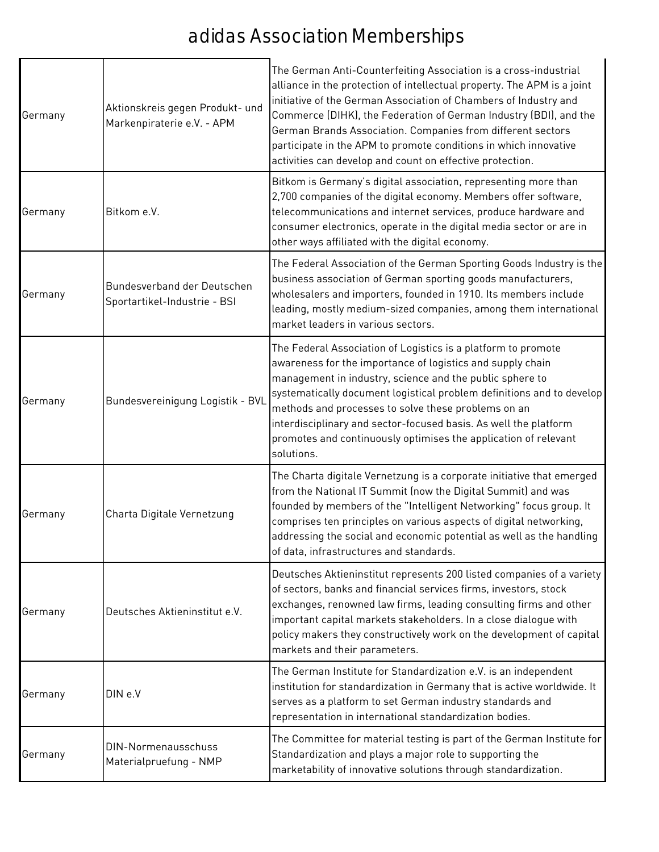| Germany | Aktionskreis gegen Produkt- und<br>Markenpiraterie e.V. - APM | The German Anti-Counterfeiting Association is a cross-industrial<br>alliance in the protection of intellectual property. The APM is a joint<br>initiative of the German Association of Chambers of Industry and<br>Commerce (DIHK), the Federation of German Industry (BDI), and the<br>German Brands Association. Companies from different sectors<br>participate in the APM to promote conditions in which innovative<br>activities can develop and count on effective protection. |
|---------|---------------------------------------------------------------|--------------------------------------------------------------------------------------------------------------------------------------------------------------------------------------------------------------------------------------------------------------------------------------------------------------------------------------------------------------------------------------------------------------------------------------------------------------------------------------|
| Germany | Bitkom e.V.                                                   | Bitkom is Germany's digital association, representing more than<br>2,700 companies of the digital economy. Members offer software,<br>telecommunications and internet services, produce hardware and<br>consumer electronics, operate in the digital media sector or are in<br>other ways affiliated with the digital economy.                                                                                                                                                       |
| Germany | Bundesverband der Deutschen<br>Sportartikel-Industrie - BSI   | The Federal Association of the German Sporting Goods Industry is the<br>business association of German sporting goods manufacturers,<br>wholesalers and importers, founded in 1910. Its members include<br>leading, mostly medium-sized companies, among them international<br>market leaders in various sectors.                                                                                                                                                                    |
| Germany | Bundesvereinigung Logistik - BVL                              | The Federal Association of Logistics is a platform to promote<br>awareness for the importance of logistics and supply chain<br>management in industry, science and the public sphere to<br>systematically document logistical problem definitions and to develop<br>methods and processes to solve these problems on an<br>interdisciplinary and sector-focused basis. As well the platform<br>promotes and continuously optimises the application of relevant<br>solutions.         |
| Germany | Charta Digitale Vernetzung                                    | The Charta digitale Vernetzung is a corporate initiative that emerged<br>from the National IT Summit (now the Digital Summit) and was<br>founded by members of the "Intelligent Networking" focus group. It<br>comprises ten principles on various aspects of digital networking,<br>addressing the social and economic potential as well as the handling<br>of data, infrastructures and standards.                                                                                 |
| Germany | Deutsches Aktieninstitut e.V.                                 | Deutsches Aktieninstitut represents 200 listed companies of a variety<br>of sectors, banks and financial services firms, investors, stock<br>exchanges, renowned law firms, leading consulting firms and other<br>important capital markets stakeholders. In a close dialogue with<br>policy makers they constructively work on the development of capital<br>markets and their parameters.                                                                                          |
| Germany | DIN e.V                                                       | The German Institute for Standardization e.V. is an independent<br>institution for standardization in Germany that is active worldwide. It<br>serves as a platform to set German industry standards and<br>representation in international standardization bodies.                                                                                                                                                                                                                   |
| Germany | DIN-Normenausschuss<br>Materialpruefung - NMP                 | The Committee for material testing is part of the German Institute for<br>Standardization and plays a major role to supporting the<br>marketability of innovative solutions through standardization.                                                                                                                                                                                                                                                                                 |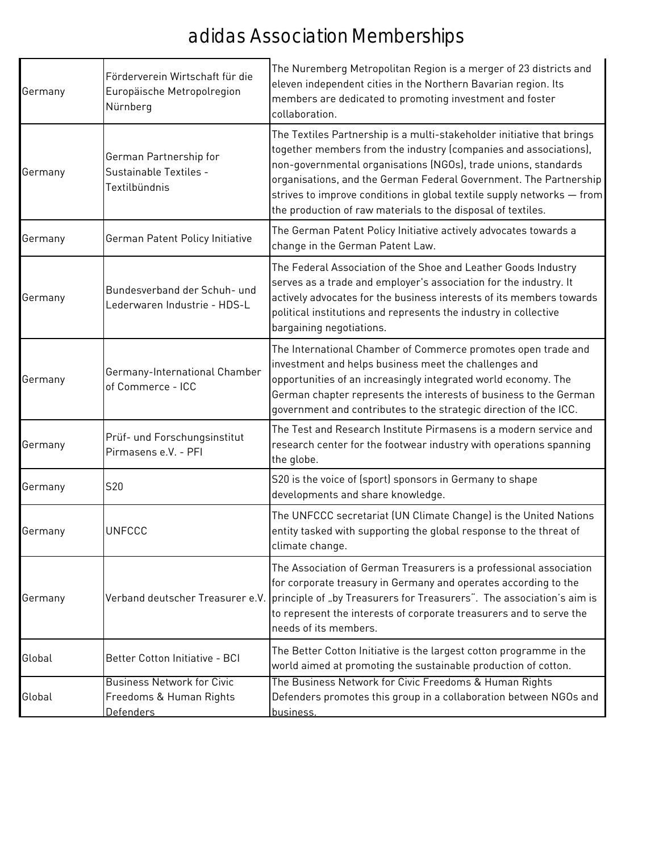| Germany | Förderverein Wirtschaft für die<br>Europäische Metropolregion<br>Nürnberg        | The Nuremberg Metropolitan Region is a merger of 23 districts and<br>eleven independent cities in the Northern Bavarian region. Its<br>members are dedicated to promoting investment and foster<br>collaboration.                                                                                                                                                                                                           |
|---------|----------------------------------------------------------------------------------|-----------------------------------------------------------------------------------------------------------------------------------------------------------------------------------------------------------------------------------------------------------------------------------------------------------------------------------------------------------------------------------------------------------------------------|
| Germany | German Partnership for<br>Sustainable Textiles -<br>Textilbündnis                | The Textiles Partnership is a multi-stakeholder initiative that brings<br>together members from the industry (companies and associations),<br>non-governmental organisations (NGOs), trade unions, standards<br>organisations, and the German Federal Government. The Partnership<br>strives to improve conditions in global textile supply networks - from<br>the production of raw materials to the disposal of textiles. |
| Germany | German Patent Policy Initiative                                                  | The German Patent Policy Initiative actively advocates towards a<br>change in the German Patent Law.                                                                                                                                                                                                                                                                                                                        |
| Germany | Bundesverband der Schuh- und<br>Lederwaren Industrie - HDS-L                     | The Federal Association of the Shoe and Leather Goods Industry<br>serves as a trade and employer's association for the industry. It<br>actively advocates for the business interests of its members towards<br>political institutions and represents the industry in collective<br>bargaining negotiations.                                                                                                                 |
| Germany | Germany-International Chamber<br>of Commerce - ICC                               | The International Chamber of Commerce promotes open trade and<br>investment and helps business meet the challenges and<br>opportunities of an increasingly integrated world economy. The<br>German chapter represents the interests of business to the German<br>government and contributes to the strategic direction of the ICC.                                                                                          |
| Germany | Prüf- und Forschungsinstitut<br>Pirmasens e.V. - PFI                             | The Test and Research Institute Pirmasens is a modern service and<br>research center for the footwear industry with operations spanning<br>the globe.                                                                                                                                                                                                                                                                       |
| Germany | S20                                                                              | S20 is the voice of (sport) sponsors in Germany to shape<br>developments and share knowledge.                                                                                                                                                                                                                                                                                                                               |
| Germany | UNFCCC                                                                           | The UNFCCC secretariat (UN Climate Change) is the United Nations<br>entity tasked with supporting the global response to the threat of<br>climate change.                                                                                                                                                                                                                                                                   |
| Germany | Verband deutscher Treasurer e.V.                                                 | The Association of German Treasurers is a professional association<br>for corporate treasury in Germany and operates according to the<br>principle of "by Treasurers for Treasurers". The association's aim is<br>to represent the interests of corporate treasurers and to serve the<br>needs of its members.                                                                                                              |
| Global  | Better Cotton Initiative - BCI                                                   | The Better Cotton Initiative is the largest cotton programme in the<br>world aimed at promoting the sustainable production of cotton.                                                                                                                                                                                                                                                                                       |
| Global  | <b>Business Network for Civic</b><br>Freedoms & Human Rights<br><b>Defenders</b> | The Business Network for Civic Freedoms & Human Rights<br>Defenders promotes this group in a collaboration between NGOs and<br>business.                                                                                                                                                                                                                                                                                    |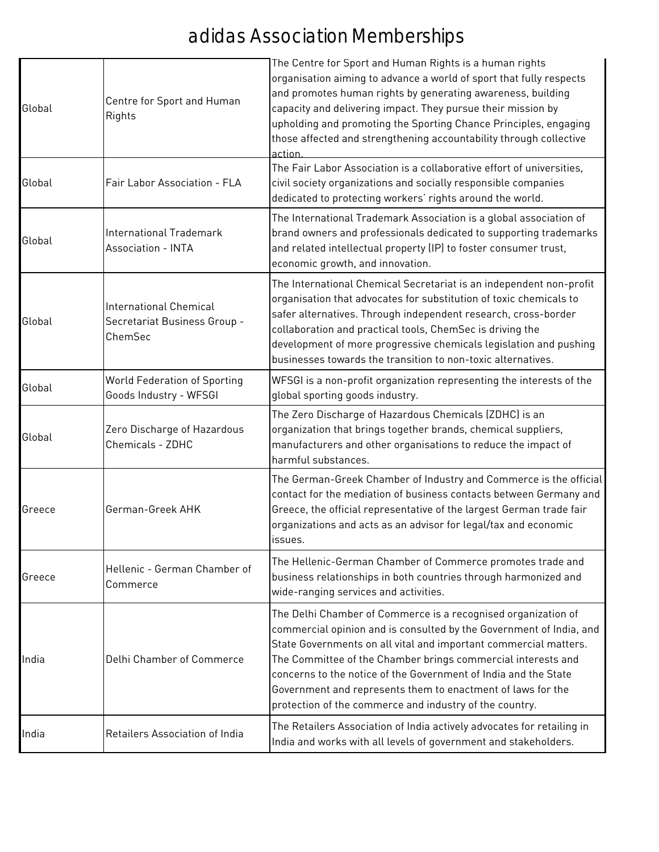| Global | Centre for Sport and Human<br>Rights                                     | The Centre for Sport and Human Rights is a human rights<br>organisation aiming to advance a world of sport that fully respects<br>and promotes human rights by generating awareness, building<br>capacity and delivering impact. They pursue their mission by<br>upholding and promoting the Sporting Chance Principles, engaging<br>those affected and strengthening accountability through collective<br>action                                                     |
|--------|--------------------------------------------------------------------------|-----------------------------------------------------------------------------------------------------------------------------------------------------------------------------------------------------------------------------------------------------------------------------------------------------------------------------------------------------------------------------------------------------------------------------------------------------------------------|
| Global | Fair Labor Association - FLA                                             | The Fair Labor Association is a collaborative effort of universities,<br>civil society organizations and socially responsible companies<br>dedicated to protecting workers' rights around the world.                                                                                                                                                                                                                                                                  |
| Global | International Trademark<br><b>Association - INTA</b>                     | The International Trademark Association is a global association of<br>brand owners and professionals dedicated to supporting trademarks<br>and related intellectual property (IP) to foster consumer trust,<br>economic growth, and innovation.                                                                                                                                                                                                                       |
| Global | <b>International Chemical</b><br>Secretariat Business Group -<br>ChemSec | The International Chemical Secretariat is an independent non-profit<br>organisation that advocates for substitution of toxic chemicals to<br>safer alternatives. Through independent research, cross-border<br>collaboration and practical tools, ChemSec is driving the<br>development of more progressive chemicals legislation and pushing<br>businesses towards the transition to non-toxic alternatives.                                                         |
| Global | World Federation of Sporting<br>Goods Industry - WFSGI                   | WFSGI is a non-profit organization representing the interests of the<br>global sporting goods industry.                                                                                                                                                                                                                                                                                                                                                               |
| Global | Zero Discharge of Hazardous<br>Chemicals - ZDHC                          | The Zero Discharge of Hazardous Chemicals (ZDHC) is an<br>organization that brings together brands, chemical suppliers,<br>manufacturers and other organisations to reduce the impact of<br>harmful substances.                                                                                                                                                                                                                                                       |
| Greece | German-Greek AHK                                                         | The German-Greek Chamber of Industry and Commerce is the official<br>contact for the mediation of business contacts between Germany and<br>Greece, the official representative of the largest German trade fair<br>organizations and acts as an advisor for legal/tax and economic<br>issues.                                                                                                                                                                         |
| Greece | Hellenic - German Chamber of<br>Commerce                                 | The Hellenic-German Chamber of Commerce promotes trade and<br>business relationships in both countries through harmonized and<br>wide-ranging services and activities.                                                                                                                                                                                                                                                                                                |
| India  | Delhi Chamber of Commerce                                                | The Delhi Chamber of Commerce is a recognised organization of<br>commercial opinion and is consulted by the Government of India, and<br>State Governments on all vital and important commercial matters.<br>The Committee of the Chamber brings commercial interests and<br>concerns to the notice of the Government of India and the State<br>Government and represents them to enactment of laws for the<br>protection of the commerce and industry of the country. |
| India  | Retailers Association of India                                           | The Retailers Association of India actively advocates for retailing in<br>India and works with all levels of government and stakeholders.                                                                                                                                                                                                                                                                                                                             |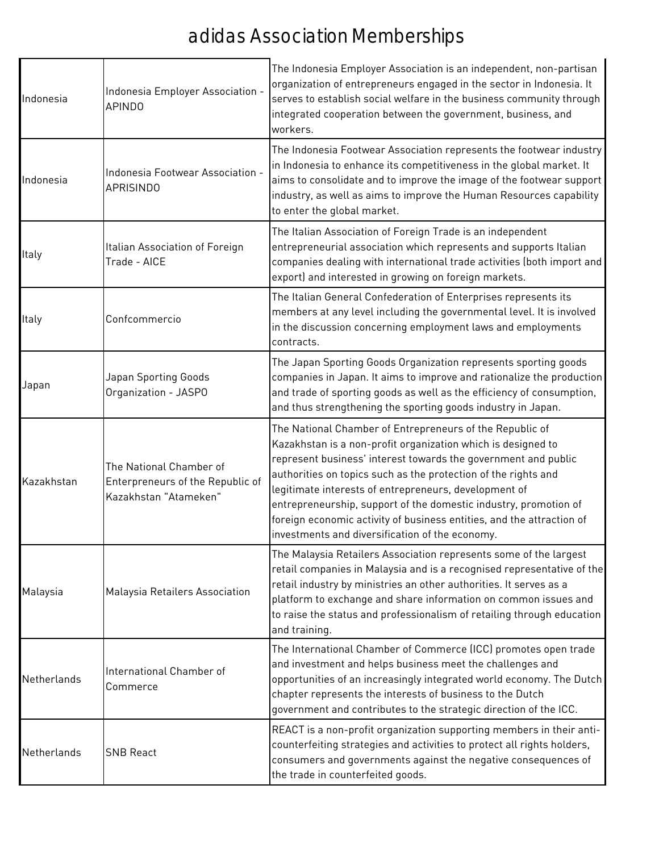| Indonesia   | Indonesia Employer Association -<br><b>APINDO</b>                                    | The Indonesia Employer Association is an independent, non-partisan<br>organization of entrepreneurs engaged in the sector in Indonesia. It<br>serves to establish social welfare in the business community through<br>integrated cooperation between the government, business, and<br>workers.                                                                                                                                                                                                                        |
|-------------|--------------------------------------------------------------------------------------|-----------------------------------------------------------------------------------------------------------------------------------------------------------------------------------------------------------------------------------------------------------------------------------------------------------------------------------------------------------------------------------------------------------------------------------------------------------------------------------------------------------------------|
| Indonesia   | Indonesia Footwear Association -<br><b>APRISINDO</b>                                 | The Indonesia Footwear Association represents the footwear industry<br>in Indonesia to enhance its competitiveness in the global market. It<br>aims to consolidate and to improve the image of the footwear support<br>industry, as well as aims to improve the Human Resources capability<br>to enter the global market.                                                                                                                                                                                             |
| Italy       | Italian Association of Foreign<br>Trade - AICE                                       | The Italian Association of Foreign Trade is an independent<br>entrepreneurial association which represents and supports Italian<br>companies dealing with international trade activities (both import and<br>export) and interested in growing on foreign markets.                                                                                                                                                                                                                                                    |
| Italy       | Confcommercio                                                                        | The Italian General Confederation of Enterprises represents its<br>members at any level including the governmental level. It is involved<br>in the discussion concerning employment laws and employments<br>contracts.                                                                                                                                                                                                                                                                                                |
| Japan       | Japan Sporting Goods<br>Organization - JASPO                                         | The Japan Sporting Goods Organization represents sporting goods<br>companies in Japan. It aims to improve and rationalize the production<br>and trade of sporting goods as well as the efficiency of consumption,<br>and thus strengthening the sporting goods industry in Japan.                                                                                                                                                                                                                                     |
| Kazakhstan  | The National Chamber of<br>Enterpreneurs of the Republic of<br>Kazakhstan "Atameken" | The National Chamber of Entrepreneurs of the Republic of<br>Kazakhstan is a non-profit organization which is designed to<br>represent business' interest towards the government and public<br>authorities on topics such as the protection of the rights and<br>legitimate interests of entrepreneurs, development of<br>entrepreneurship, support of the domestic industry, promotion of<br>foreign economic activity of business entities, and the attraction of<br>investments and diversification of the economy. |
| Malaysia    | Malaysia Retailers Association                                                       | The Malaysia Retailers Association represents some of the largest<br>retail companies in Malaysia and is a recognised representative of the<br>retail industry by ministries an other authorities. It serves as a<br>platform to exchange and share information on common issues and<br>to raise the status and professionalism of retailing through education<br>and training.                                                                                                                                       |
| Netherlands | International Chamber of<br>Commerce                                                 | The International Chamber of Commerce (ICC) promotes open trade<br>and investment and helps business meet the challenges and<br>opportunities of an increasingly integrated world economy. The Dutch<br>chapter represents the interests of business to the Dutch<br>government and contributes to the strategic direction of the ICC.                                                                                                                                                                                |
| Netherlands | <b>SNB React</b>                                                                     | REACT is a non-profit organization supporting members in their anti-<br>counterfeiting strategies and activities to protect all rights holders,<br>consumers and governments against the negative consequences of<br>the trade in counterfeited goods.                                                                                                                                                                                                                                                                |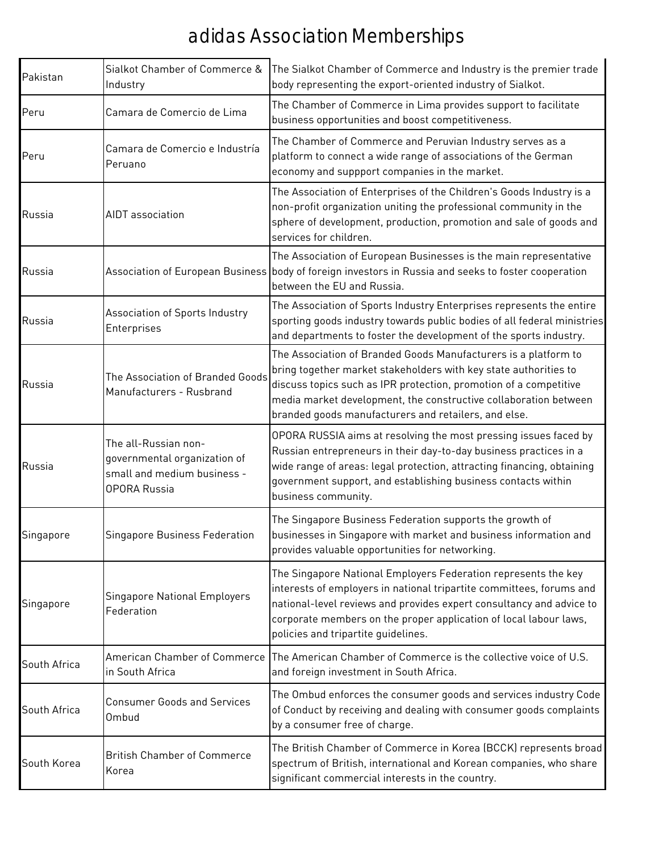| Pakistan     | Sialkot Chamber of Commerce &<br>Industry                                                                  | The Sialkot Chamber of Commerce and Industry is the premier trade<br>body representing the export-oriented industry of Sialkot.                                                                                                                                                                                                      |
|--------------|------------------------------------------------------------------------------------------------------------|--------------------------------------------------------------------------------------------------------------------------------------------------------------------------------------------------------------------------------------------------------------------------------------------------------------------------------------|
| Peru         | Camara de Comercio de Lima                                                                                 | The Chamber of Commerce in Lima provides support to facilitate<br>business opportunities and boost competitiveness.                                                                                                                                                                                                                  |
| Peru         | Camara de Comercio e Industría<br>Peruano                                                                  | The Chamber of Commerce and Peruvian Industry serves as a<br>platform to connect a wide range of associations of the German<br>economy and suppport companies in the market.                                                                                                                                                         |
| Russia       | <b>AIDT</b> association                                                                                    | The Association of Enterprises of the Children's Goods Industry is a<br>non-profit organization uniting the professional community in the<br>sphere of development, production, promotion and sale of goods and<br>services for children.                                                                                            |
| Russia       |                                                                                                            | The Association of European Businesses is the main representative<br>Association of European Business body of foreign investors in Russia and seeks to foster cooperation<br>between the EU and Russia.                                                                                                                              |
| Russia       | Association of Sports Industry<br>Enterprises                                                              | The Association of Sports Industry Enterprises represents the entire<br>sporting goods industry towards public bodies of all federal ministries<br>and departments to foster the development of the sports industry.                                                                                                                 |
| Russia       | The Association of Branded Goods<br>Manufacturers - Rusbrand                                               | The Association of Branded Goods Manufacturers is a platform to<br>bring together market stakeholders with key state authorities to<br>discuss topics such as IPR protection, promotion of a competitive<br>media market development, the constructive collaboration between<br>branded goods manufacturers and retailers, and else. |
| Russia       | The all-Russian non-<br>governmental organization of<br>small and medium business -<br><b>OPORA Russia</b> | OPORA RUSSIA aims at resolving the most pressing issues faced by<br>Russian entrepreneurs in their day-to-day business practices in a<br>wide range of areas: legal protection, attracting financing, obtaining<br>government support, and establishing business contacts within<br>business community.                              |
| Singapore    | Singapore Business Federation                                                                              | The Singapore Business Federation supports the growth of<br>businesses in Singapore with market and business information and<br>provides valuable opportunities for networking.                                                                                                                                                      |
| Singapore    | Singapore National Employers<br>Federation                                                                 | The Singapore National Employers Federation represents the key<br>interests of employers in national tripartite committees, forums and<br>national-level reviews and provides expert consultancy and advice to<br>corporate members on the proper application of local labour laws,<br>policies and tripartite guidelines.           |
| South Africa | in South Africa                                                                                            | American Chamber of Commerce The American Chamber of Commerce is the collective voice of U.S.<br>and foreign investment in South Africa.                                                                                                                                                                                             |
| South Africa | <b>Consumer Goods and Services</b><br>Ombud                                                                | The Ombud enforces the consumer goods and services industry Code<br>of Conduct by receiving and dealing with consumer goods complaints<br>by a consumer free of charge.                                                                                                                                                              |
| South Korea  | <b>British Chamber of Commerce</b><br>Korea                                                                | The British Chamber of Commerce in Korea (BCCK) represents broad<br>spectrum of British, international and Korean companies, who share<br>significant commercial interests in the country.                                                                                                                                           |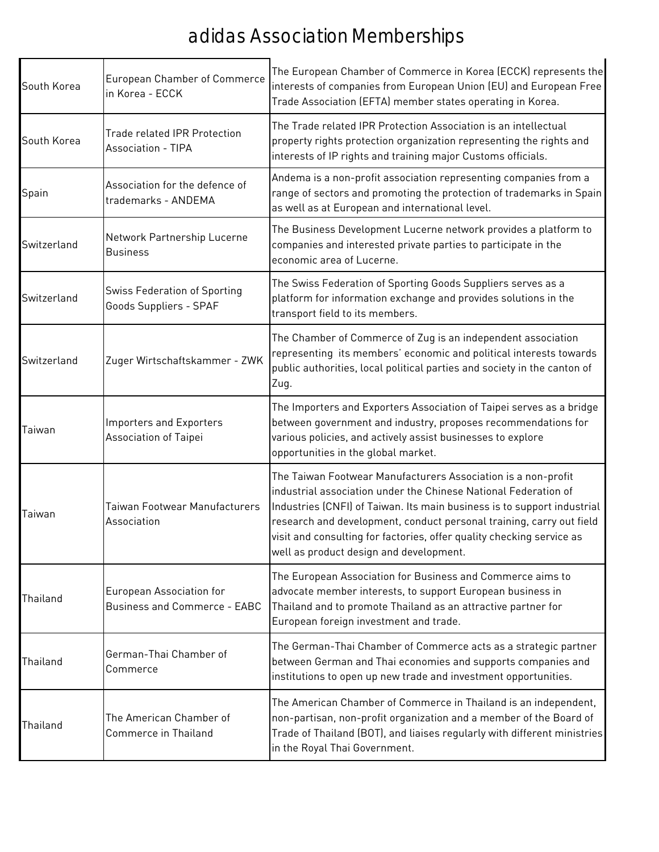| South Korea | European Chamber of Commerce<br>in Korea - ECCK                  | The European Chamber of Commerce in Korea (ECCK) represents the<br>interests of companies from European Union (EU) and European Free<br>Trade Association (EFTA) member states operating in Korea.                                                                                                                                                                                                      |
|-------------|------------------------------------------------------------------|---------------------------------------------------------------------------------------------------------------------------------------------------------------------------------------------------------------------------------------------------------------------------------------------------------------------------------------------------------------------------------------------------------|
| South Korea | <b>Trade related IPR Protection</b><br><b>Association - TIPA</b> | The Trade related IPR Protection Association is an intellectual<br>property rights protection organization representing the rights and<br>interests of IP rights and training major Customs officials.                                                                                                                                                                                                  |
| Spain       | Association for the defence of<br>trademarks - ANDEMA            | Andema is a non-profit association representing companies from a<br>range of sectors and promoting the protection of trademarks in Spain<br>as well as at European and international level.                                                                                                                                                                                                             |
| Switzerland | Network Partnership Lucerne<br><b>Business</b>                   | The Business Development Lucerne network provides a platform to<br>companies and interested private parties to participate in the<br>economic area of Lucerne.                                                                                                                                                                                                                                          |
| Switzerland | <b>Swiss Federation of Sporting</b><br>Goods Suppliers - SPAF    | The Swiss Federation of Sporting Goods Suppliers serves as a<br>platform for information exchange and provides solutions in the<br>transport field to its members.                                                                                                                                                                                                                                      |
| Switzerland | Zuger Wirtschaftskammer - ZWK                                    | The Chamber of Commerce of Zug is an independent association<br>representing its members' economic and political interests towards<br>public authorities, local political parties and society in the canton of<br>Zug.                                                                                                                                                                                  |
| Taiwan      | <b>Importers and Exporters</b><br>Association of Taipei          | The Importers and Exporters Association of Taipei serves as a bridge<br>between government and industry, proposes recommendations for<br>various policies, and actively assist businesses to explore<br>opportunities in the global market.                                                                                                                                                             |
| Taiwan      | Taiwan Footwear Manufacturers<br>Association                     | The Taiwan Footwear Manufacturers Association is a non-profit<br>industrial association under the Chinese National Federation of<br>Industries (CNFI) of Taiwan. Its main business is to support industrial<br>research and development, conduct personal training, carry out field<br>visit and consulting for factories, offer quality checking service as<br>well as product design and development. |
| Thailand    | European Association for<br><b>Business and Commerce - EABC</b>  | The European Association for Business and Commerce aims to<br>advocate member interests, to support European business in<br>Thailand and to promote Thailand as an attractive partner for<br>European foreign investment and trade.                                                                                                                                                                     |
| Thailand    | German-Thai Chamber of<br>Commerce                               | The German-Thai Chamber of Commerce acts as a strategic partner<br>between German and Thai economies and supports companies and<br>institutions to open up new trade and investment opportunities.                                                                                                                                                                                                      |
| Thailand    | The American Chamber of<br>Commerce in Thailand                  | The American Chamber of Commerce in Thailand is an independent,<br>non-partisan, non-profit organization and a member of the Board of<br>Trade of Thailand (BOT), and liaises regularly with different ministries<br>in the Royal Thai Government.                                                                                                                                                      |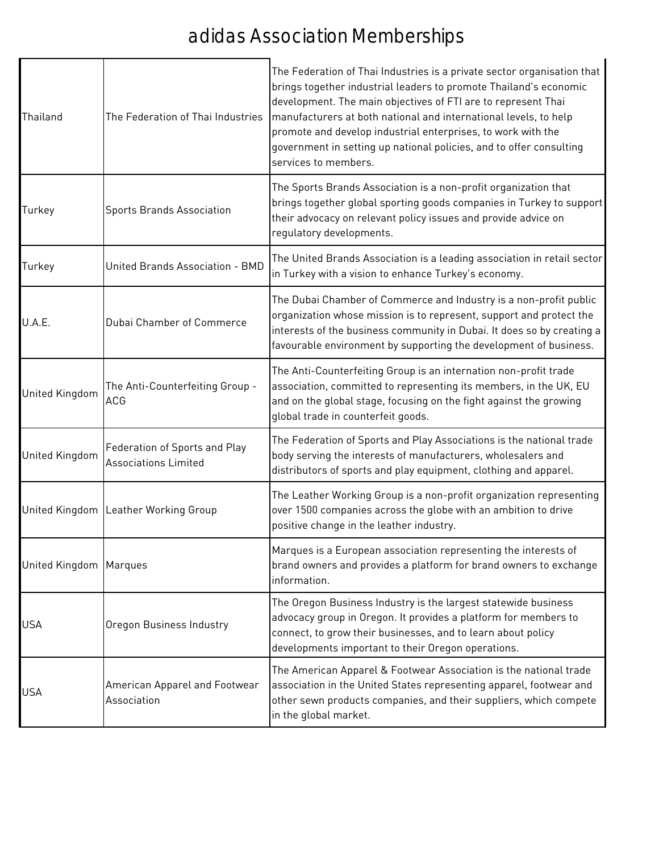| Thailand                 | The Federation of Thai Industries                            | The Federation of Thai Industries is a private sector organisation that<br>brings together industrial leaders to promote Thailand's economic<br>development. The main objectives of FTI are to represent Thai<br>manufacturers at both national and international levels, to help<br>promote and develop industrial enterprises, to work with the<br>government in setting up national policies, and to offer consulting<br>services to members. |
|--------------------------|--------------------------------------------------------------|--------------------------------------------------------------------------------------------------------------------------------------------------------------------------------------------------------------------------------------------------------------------------------------------------------------------------------------------------------------------------------------------------------------------------------------------------|
| Turkey                   | <b>Sports Brands Association</b>                             | The Sports Brands Association is a non-profit organization that<br>brings together global sporting goods companies in Turkey to support<br>their advocacy on relevant policy issues and provide advice on<br>regulatory developments.                                                                                                                                                                                                            |
| Turkey                   | United Brands Association - BMD                              | The United Brands Association is a leading association in retail sector<br>in Turkey with a vision to enhance Turkey's economy.                                                                                                                                                                                                                                                                                                                  |
| U.A.E.                   | Dubai Chamber of Commerce                                    | The Dubai Chamber of Commerce and Industry is a non-profit public<br>organization whose mission is to represent, support and protect the<br>interests of the business community in Dubai. It does so by creating a<br>favourable environment by supporting the development of business.                                                                                                                                                          |
| <b>United Kingdom</b>    | The Anti-Counterfeiting Group -<br><b>ACG</b>                | The Anti-Counterfeiting Group is an internation non-profit trade<br>association, committed to representing its members, in the UK, EU<br>and on the global stage, focusing on the fight against the growing<br>global trade in counterfeit goods.                                                                                                                                                                                                |
| <b>United Kingdom</b>    | Federation of Sports and Play<br><b>Associations Limited</b> | The Federation of Sports and Play Associations is the national trade<br>body serving the interests of manufacturers, wholesalers and<br>distributors of sports and play equipment, clothing and apparel.                                                                                                                                                                                                                                         |
|                          | United Kingdom Leather Working Group                         | The Leather Working Group is a non-profit organization representing<br>over 1500 companies across the globe with an ambition to drive<br>positive change in the leather industry.                                                                                                                                                                                                                                                                |
| United Kingdom   Marques |                                                              | Marques is a European association representing the interests of<br>brand owners and provides a platform for brand owners to exchange<br>information.                                                                                                                                                                                                                                                                                             |
| <b>USA</b>               | Oregon Business Industry                                     | The Oregon Business Industry is the largest statewide business<br>advocacy group in Oregon. It provides a platform for members to<br>connect, to grow their businesses, and to learn about policy<br>developments important to their Oregon operations.                                                                                                                                                                                          |
| <b>USA</b>               | American Apparel and Footwear<br>Association                 | The American Apparel & Footwear Association is the national trade<br>association in the United States representing apparel, footwear and<br>other sewn products companies, and their suppliers, which compete<br>in the global market.                                                                                                                                                                                                           |